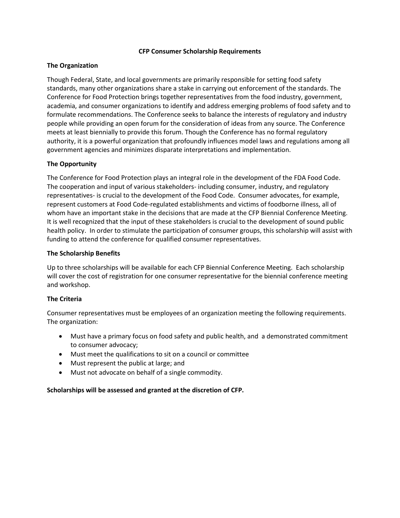#### **CFP Consumer Scholarship Requirements**

### **The Organization**

Though Federal, State, and local governments are primarily responsible for setting food safety standards, many other organizations share a stake in carrying out enforcement of the standards. The Conference for Food Protection brings together representatives from the food industry, government, academia, and consumer organizations to identify and address emerging problems of food safety and to formulate recommendations. The Conference seeks to balance the interests of regulatory and industry people while providing an open forum for the consideration of ideas from any source. The Conference meets at least biennially to provide this forum. Though the Conference has no formal regulatory authority, it is a powerful organization that profoundly influences model laws and regulations among all government agencies and minimizes disparate interpretations and implementation.

## **The Opportunity**

The Conference for Food Protection plays an integral role in the development of the FDA Food Code. The cooperation and input of various stakeholders- including consumer, industry, and regulatory representatives- is crucial to the development of the Food Code. Consumer advocates, for example, represent customers at Food Code-regulated establishments and victims of foodborne illness, all of whom have an important stake in the decisions that are made at the CFP Biennial Conference Meeting. It is well recognized that the input of these stakeholders is crucial to the development of sound public health policy. In order to stimulate the participation of consumer groups, this scholarship will assist with funding to attend the conference for qualified consumer representatives.

#### **The Scholarship Benefits**

Up to three scholarships will be available for each CFP Biennial Conference Meeting. Each scholarship will cover the cost of registration for one consumer representative for the biennial conference meeting and workshop.

## **The Criteria**

Consumer representatives must be employees of an organization meeting the following requirements. The organization:

- Must have a primary focus on food safety and public health, and a demonstrated commitment to consumer advocacy;
- Must meet the qualifications to sit on a council or committee
- Must represent the public at large; and
- Must not advocate on behalf of a single commodity.

#### **Scholarships will be assessed and granted at the discretion of CFP.**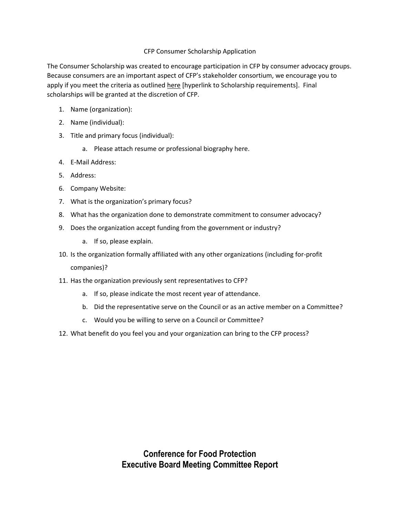# CFP Consumer Scholarship Application

The Consumer Scholarship was created to encourage participation in CFP by consumer advocacy groups. Because consumers are an important aspect of CFP's stakeholder consortium, we encourage you to apply if you meet the criteria as outlined here [hyperlink to Scholarship requirements]. Final scholarships will be granted at the discretion of CFP.

- 1. Name (organization):
- 2. Name (individual):
- 3. Title and primary focus (individual):
	- a. Please attach resume or professional biography here.
- 4. E-Mail Address:
- 5. Address:
- 6. Company Website:
- 7. What is the organization's primary focus?
- 8. What has the organization done to demonstrate commitment to consumer advocacy?
- 9. Does the organization accept funding from the government or industry?
	- a. If so, please explain.
- 10. Is the organization formally affiliated with any other organizations (including for-profit companies)?
- 11. Has the organization previously sent representatives to CFP?
	- a. If so, please indicate the most recent year of attendance.
	- b. Did the representative serve on the Council or as an active member on a Committee?
	- c. Would you be willing to serve on a Council or Committee?
- 12. What benefit do you feel you and your organization can bring to the CFP process?

**Conference for Food Protection Executive Board Meeting Committee Report**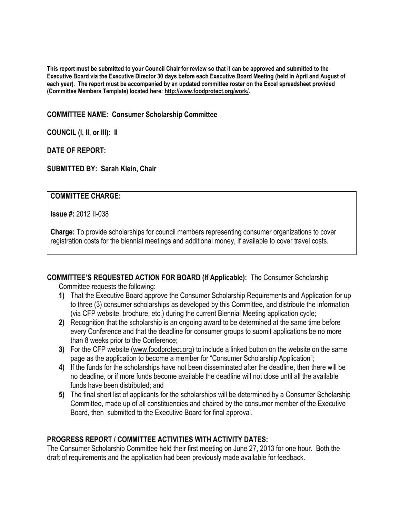**This report must be submitted to your Council Chair for review so that it can be approved and submitted to the Executive Board via the Executive Director 30 days before each Executive Board Meeting (held in April and August of each year). The report must be accompanied by an updated committee roster on the Excel spreadsheet provided (Committee Members Template) located here: [http://www.foodprotect.org/work/.](http://www.foodprotect.org/work/)**

**COMMITTEE NAME: Consumer Scholarship Committee**

**COUNCIL (I, II, or III): II**

**DATE OF REPORT:**

**SUBMITTED BY: Sarah Klein, Chair**

# **COMMITTEE CHARGE:**

**Issue #:** 2012 II-038

**Charge:** To provide scholarships for council members representing consumer organizations to cover registration costs for the biennial meetings and additional money, if available to cover travel costs.

**COMMITTEE'S REQUESTED ACTION FOR BOARD (If Applicable):** The Consumer Scholarship

Committee requests the following:

- **1)** That the Executive Board approve the Consumer Scholarship Requirements and Application for up to three (3) consumer scholarships as developed by this Committee, and distribute the information (via CFP website, brochure, etc.) during the current Biennial Meeting application cycle;
- **2)** Recognition that the scholarship is an ongoing award to be determined at the same time before every Conference and that the deadline for consumer groups to submit applications be no more than 8 weeks prior to the Conference;
- **3)** For the CFP website [\(www.foodprotect.org\)](http://www.foodprotect.org/) to include a linked button on the website on the same page as the application to become a member for "Consumer Scholarship Application";
- **4)** If the funds for the scholarships have not been disseminated after the deadline, then there will be no deadline, or if more funds become available the deadline will not close until all the available funds have been distributed; and
- **5)** The final short list of applicants for the scholarships will be determined by a Consumer Scholarship Committee, made up of all constituencies and chaired by the consumer member of the Executive Board, then submitted to the Executive Board for final approval.

# **PROGRESS REPORT / COMMITTEE ACTIVITIES WITH ACTIVITY DATES:**

The Consumer Scholarship Committee held their first meeting on June 27, 2013 for one hour. Both the draft of requirements and the application had been previously made available for feedback.